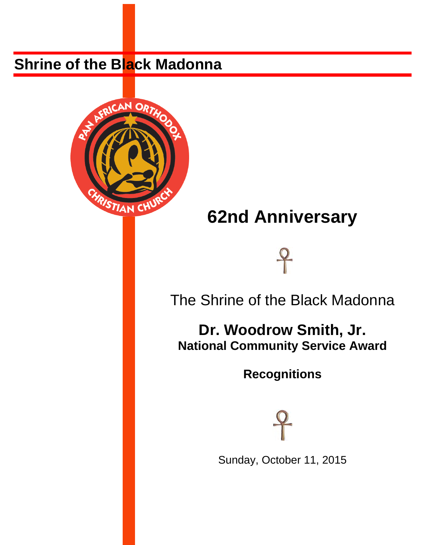# **Shrine of the Black Madonna**



# **62nd Anniversary**



The Shrine of the Black Madonna

**Dr. Woodrow Smith, Jr. National Community Service Award** 

**Recognitions** 



Sunday, October 11, 2015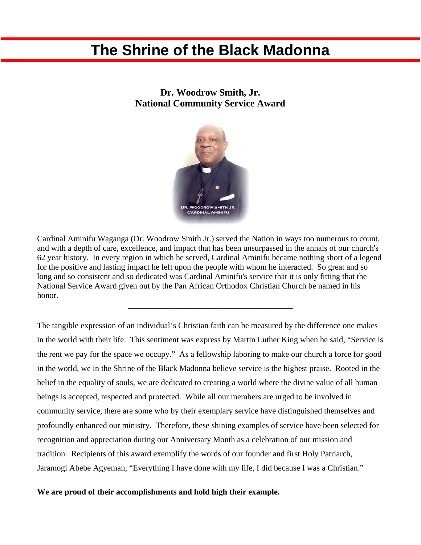## **The Shrine of the Black Madonna**

### **Dr. Woodrow Smith, Jr. National Community Service Award**



Cardinal Aminifu Waganga (Dr. Woodrow Smith Jr.) served the Nation in ways too numerous to count, and with a depth of care, excellence, and impact that has been unsurpassed in the annals of our church's 62 year history. In every region in which he served, Cardinal Aminifu became nothing short of a legend for the positive and lasting impact he left upon the people with whom he interacted. So great and so long and so consistent and so dedicated was Cardinal Aminifu's service that it is only fitting that the National Service Award given out by the Pan African Orthodox Christian Church be named in his honor.

**\_\_\_\_\_\_\_\_\_\_\_\_\_\_\_\_\_\_\_\_\_\_\_\_\_\_\_\_\_\_\_\_\_\_\_\_\_\_\_\_** 

The tangible expression of an individual's Christian faith can be measured by the difference one makes in the world with their life. This sentiment was express by Martin Luther King when he said, "Service is the rent we pay for the space we occupy." As a fellowship laboring to make our church a force for good in the world, we in the Shrine of the Black Madonna believe service is the highest praise. Rooted in the belief in the equality of souls, we are dedicated to creating a world where the divine value of all human beings is accepted, respected and protected. While all our members are urged to be involved in community service, there are some who by their exemplary service have distinguished themselves and profoundly enhanced our ministry. Therefore, these shining examples of service have been selected for recognition and appreciation during our Anniversary Month as a celebration of our mission and tradition. Recipients of this award exemplify the words of our founder and first Holy Patriarch, Jaramogi Abebe Agyeman, "Everything I have done with my life, I did because I was a Christian."

### **We are proud of their accomplishments and hold high their example.**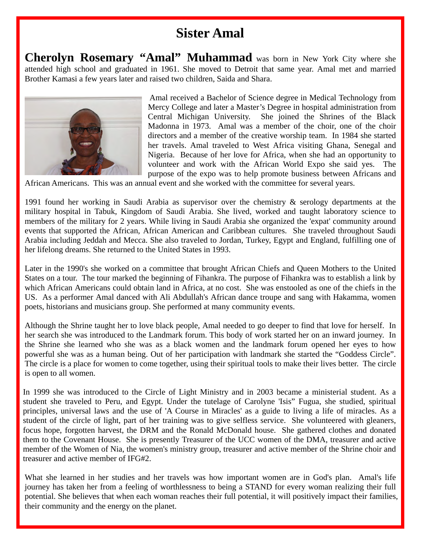### **Sister Amal**

**Cherolyn Rosemary "Amal" Muhammad** was born in New York City where she attended high school and graduated in 1961. She moved to Detroit that same year. Amal met and married Brother Kamasi a few years later and raised two children, Saida and Shara.



 Amal received a Bachelor of Science degree in Medical Technology from Mercy College and later a Master's Degree in hospital administration from Central Michigan University. She joined the Shrines of the Black Madonna in 1973. Amal was a member of the choir, one of the choir directors and a member of the creative worship team. In 1984 she started her travels. Amal traveled to West Africa visiting Ghana, Senegal and Nigeria. Because of her love for Africa, when she had an opportunity to volunteer and work with the African World Expo she said yes. The purpose of the expo was to help promote business between Africans and

African Americans. This was an annual event and she worked with the committee for several years.

1991 found her working in Saudi Arabia as supervisor over the chemistry & serology departments at the military hospital in Tabuk, Kingdom of Saudi Arabia. She lived, worked and taught laboratory science to members of the military for 2 years. While living in Saudi Arabia she organized the 'expat' community around events that supported the African, African American and Caribbean cultures. She traveled throughout Saudi Arabia including Jeddah and Mecca. She also traveled to Jordan, Turkey, Egypt and England, fulfilling one of her lifelong dreams. She returned to the United States in 1993.

Later in the 1990's she worked on a committee that brought African Chiefs and Queen Mothers to the United States on a tour. The tour marked the beginning of Fihankra. The purpose of Fihankra was to establish a link by which African Americans could obtain land in Africa, at no cost. She was enstooled as one of the chiefs in the US. As a performer Amal danced with Ali Abdullah's African dance troupe and sang with Hakamma, women poets, historians and musicians group. She performed at many community events.

Although the Shrine taught her to love black people, Amal needed to go deeper to find that love for herself. In her search she was introduced to the Landmark forum. This body of work started her on an inward journey. In the Shrine she learned who she was as a black women and the landmark forum opened her eyes to how powerful she was as a human being. Out of her participation with landmark she started the "Goddess Circle". The circle is a place for women to come together, using their spiritual tools to make their lives better. The circle is open to all women.

In 1999 she was introduced to the Circle of Light Ministry and in 2003 became a ministerial student. As a student she traveled to Peru, and Egypt. Under the tutelage of Carolyne 'Isis" Fugua, she studied, spiritual principles, universal laws and the use of 'A Course in Miracles' as a guide to living a life of miracles. As a student of the circle of light, part of her training was to give selfless service. She volunteered with gleaners, focus hope, forgotten harvest, the DRM and the Ronald McDonald house. She gathered clothes and donated them to the Covenant House. She is presently Treasurer of the UCC women of the DMA, treasurer and active member of the Women of Nia, the women's ministry group, treasurer and active member of the Shrine choir and treasurer and active member of IFG#2.

What she learned in her studies and her travels was how important women are in God's plan. Amal's life journey has taken her from a feeling of worthlessness to being a STAND for every woman realizing their full potential. She believes that when each woman reaches their full potential, it will positively impact their families, their community and the energy on the planet.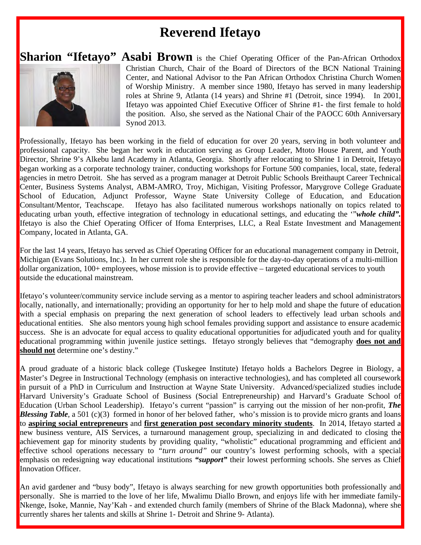### **Reverend Ifetayo**

### **Sharion "Ifetayo" Asabi Brown** is the Chief Operating Officer of the Pan-African Orthodox



Christian Church, Chair of the Board of Directors of the BCN National Training Center, and National Advisor to the Pan African Orthodox Christina Church Women of Worship Ministry. A member since 1980, Ifetayo has served in many leadership roles at Shrine 9, Atlanta (14 years) and Shrine #1 (Detroit, since 1994). In 2001, Ifetayo was appointed Chief Executive Officer of Shrine #1- the first female to hold the position. Also, she served as the National Chair of the PAOCC 60th Anniversary Synod 2013.

Professionally, Ifetayo has been working in the field of education for over 20 years, serving in both volunteer and professional capacity. She began her work in education serving as Group Leader, Mtoto House Parent, and Youth Director, Shrine 9's Alkebu land Academy in Atlanta, Georgia. Shortly after relocating to Shrine 1 in Detroit, Ifetayo began working as a corporate technology trainer, conducting workshops for Fortune 500 companies, local, state, federal agencies in metro Detroit. She has served as a program manager at Detroit Public Schools Breithaupt Career Technical Center, Business Systems Analyst, ABM-AMRO, Troy, Michigan, Visiting Professor, Marygrove College Graduate School of Education, Adjunct Professor, Wayne State University College of Education, and Education Consultant/Mentor, Teachscape. Ifetayo has also facilitated numerous workshops nationally on topics related to educating urban youth, effective integration of technology in educational settings, and educating the '"*whole child".* Ifetayo is also the Chief Operating Officer of Ifoma Enterprises, LLC, a Real Estate Investment and Management Company, located in Atlanta, GA.

For the last 14 years, Ifetayo has served as Chief Operating Officer for an educational management company in Detroit, Michigan (Evans Solutions, Inc.). In her current role she is responsible for the day-to-day operations of a multi-million dollar organization, 100+ employees, whose mission is to provide effective – targeted educational services to youth outside the educational mainstream.

Ifetayo's volunteer/community service include serving as a mentor to aspiring teacher leaders and school administrators locally, nationally, and internationally; providing an opportunity for her to help mold and shape the future of education with a special emphasis on preparing the next generation of school leaders to effectively lead urban schools and educational entities. She also mentors young high school females providing support and assistance to ensure academic success. She is an advocate for equal access to quality educational opportunities for adjudicated youth and for quality educational programming within juvenile justice settings. Ifetayo strongly believes that "demography **does not and should not** determine one's destiny."

A proud graduate of a historic black college (Tuskegee Institute) Ifetayo holds a Bachelors Degree in Biology, a Master's Degree in Instructional Technology (emphasis on interactive technologies), and has completed all coursework in pursuit of a PhD in Curriculum and Instruction at Wayne State University. Advanced/specialized studies include Harvard University's Graduate School of Business (Social Entrepreneurship) and Harvard's Graduate School of Education (Urban School Leadership). Ifetayo's current "passion" is carrying out the mission of her non-profit, *The Blessing Table*, a 501 (c)(3) formed in honor of her beloved father, who's mission is to provide micro grants and loans to **aspiring social entrepreneurs** and **first generation post secondary minority students**. In 2014, Ifetayo started a new business venture, AIS Services, a turnaround management group, specializing in and dedicated to closing the achievement gap for minority students by providing quality, "wholistic" educational programming and efficient and effective school operations necessary to *"turn around"* our country's lowest performing schools, with a special emphasis on redesigning way educational institutions *"support"* their lowest performing schools. She serves as Chief Innovation Officer.

An avid gardener and "busy body", Ifetayo is always searching for new growth opportunities both professionally and personally. She is married to the love of her life, Mwalimu Diallo Brown, and enjoys life with her immediate family-Nkenge, Isoke, Mannie, Nay'Kah - and extended church family (members of Shrine of the Black Madonna), where she currently shares her talents and skills at Shrine 1- Detroit and Shrine 9- Atlanta).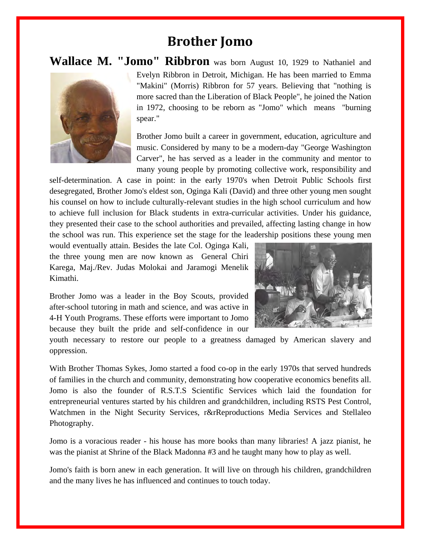### **Brother Jomo**

### **Wallace M. "Jomo" Ribbron** was born August 10, 1929 to Nathaniel and



Evelyn Ribbron in Detroit, Michigan. He has been married to Emma "Makini" (Morris) Ribbron for 57 years. Believing that "nothing is more sacred than the Liberation of Black People", he joined the Nation in 1972, choosing to be reborn as "Jomo" which means "burning spear."

Brother Jomo built a career in government, education, agriculture and music. Considered by many to be a modern-day "George Washington Carver", he has served as a leader in the community and mentor to many young people by promoting collective work, responsibility and

self-determination. A case in point: in the early 1970's when Detroit Public Schools first desegregated, Brother Jomo's eldest son, Oginga Kali (David) and three other young men sought his counsel on how to include culturally-relevant studies in the high school curriculum and how to achieve full inclusion for Black students in extra-curricular activities. Under his guidance, they presented their case to the school authorities and prevailed, affecting lasting change in how the school was run. This experience set the stage for the leadership positions these young men

would eventually attain. Besides the late Col. Oginga Kali, the three young men are now known as General Chiri Karega, Maj./Rev. Judas Molokai and Jaramogi Menelik Kimathi.

Brother Jomo was a leader in the Boy Scouts, provided after-school tutoring in math and science, and was active in 4-H Youth Programs. These efforts were important to Jomo because they built the pride and self-confidence in our



youth necessary to restore our people to a greatness damaged by American slavery and oppression.

With Brother Thomas Sykes, Jomo started a food co-op in the early 1970s that served hundreds of families in the church and community, demonstrating how cooperative economics benefits all. Jomo is also the founder of R.S.T.S Scientific Services which laid the foundation for entrepreneurial ventures started by his children and grandchildren, including RSTS Pest Control, Watchmen in the Night Security Services, r&rReproductions Media Services and Stellaleo Photography.

Jomo is a voracious reader - his house has more books than many libraries! A jazz pianist, he was the pianist at Shrine of the Black Madonna #3 and he taught many how to play as well.

Jomo's faith is born anew in each generation. It will live on through his children, grandchildren and the many lives he has influenced and continues to touch today.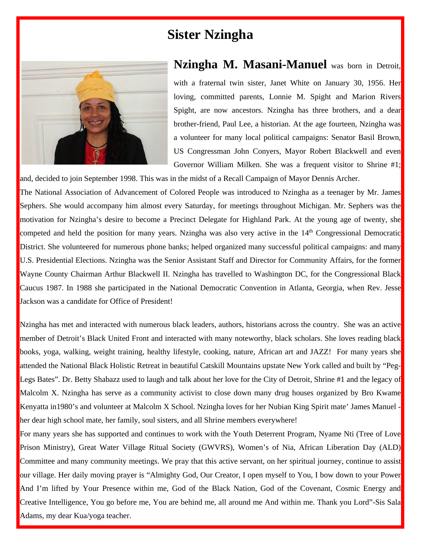### **Sister Nzingha**



### **Nzingha M. Masani-Manuel** was born in Detroit,

with a fraternal twin sister, Janet White on January 30, 1956. Her loving, committed parents, Lonnie M. Spight and Marion Rivers Spight, are now ancestors. Nzingha has three brothers, and a dear brother-friend, Paul Lee, a historian. At the age fourteen, Nzingha was a volunteer for many local political campaigns: Senator Basil Brown, US Congressman John Conyers, Mayor Robert Blackwell and even Governor William Milken. She was a frequent visitor to Shrine #1;

and, decided to join September 1998. This was in the midst of a Recall Campaign of Mayor Dennis Archer. The National Association of Advancement of Colored People was introduced to Nzingha as a teenager by Mr. James Sephers. She would accompany him almost every Saturday, for meetings throughout Michigan. Mr. Sephers was the motivation for Nzingha's desire to become a Precinct Delegate for Highland Park. At the young age of twenty, she competed and held the position for many years. Nzingha was also very active in the 14<sup>th</sup> Congressional Democratic District. She volunteered for numerous phone banks; helped organized many successful political campaigns: and many U.S. Presidential Elections. Nzingha was the Senior Assistant Staff and Director for Community Affairs, for the former Wayne County Chairman Arthur Blackwell II. Nzingha has travelled to Washington DC, for the Congressional Black Caucus 1987. In 1988 she participated in the National Democratic Convention in Atlanta, Georgia, when Rev. Jesse Jackson was a candidate for Office of President!

Nzingha has met and interacted with numerous black leaders, authors, historians across the country. She was an active member of Detroit's Black United Front and interacted with many noteworthy, black scholars. She loves reading black books, yoga, walking, weight training, healthy lifestyle, cooking, nature, African art and JAZZ! For many years she attended the National Black Holistic Retreat in beautiful Catskill Mountains upstate New York called and built by "Peg-Legs Bates". Dr. Betty Shabazz used to laugh and talk about her love for the City of Detroit, Shrine #1 and the legacy of Malcolm X. Nzingha has serve as a community activist to close down many drug houses organized by Bro Kwame Kenyatta in1980's and volunteer at Malcolm X School. Nzingha loves for her Nubian King Spirit mate' James Manuel her dear high school mate, her family, soul sisters, and all Shrine members everywhere!

For many years she has supported and continues to work with the Youth Deterrent Program, Nyame Nti (Tree of Love Prison Ministry), Great Water Village Ritual Society (GWVRS), Women's of Nia, African Liberation Day (ALD) Committee and many community meetings. We pray that this active servant, on her spiritual journey, continue to assist our village. Her daily moving prayer is "Almighty God, Our Creator, I open myself to You, I bow down to your Power And I'm lifted by Your Presence within me, God of the Black Nation, God of the Covenant, Cosmic Energy and Creative Intelligence, You go before me, You are behind me, all around me And within me. Thank you Lord"-Sis Sala Adams, my dear Kua/yoga teacher.